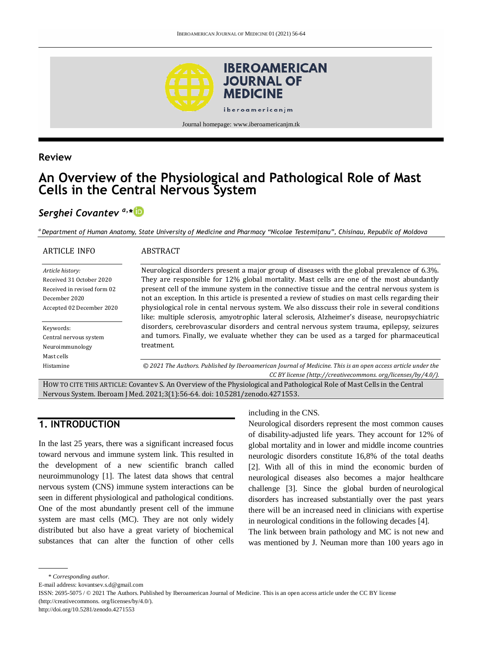

### **Review**

# **An Overview of the Physiological and Pathological Role of Mast Cells in the Central Nervous System**

# *Serghei Covantev a,\**

*<sup>a</sup> Department of Human Anatomy, State University of Medicine and Pharmacy "Nicolae Testemițanu", Chisinau, Republic of Moldova*

| <b>ARTICLE INFO</b>                                                                          | <b>ABSTRACT</b>                                                                                                                                                                                                                                                                                                                                                                              |  |  |
|----------------------------------------------------------------------------------------------|----------------------------------------------------------------------------------------------------------------------------------------------------------------------------------------------------------------------------------------------------------------------------------------------------------------------------------------------------------------------------------------------|--|--|
| Article history:<br>Received 31 October 2020<br>Received in revised form 02<br>December 2020 | Neurological disorders present a major group of diseases with the global prevalence of 6.3%.<br>They are responsible for 12% global mortality. Mast cells are one of the most abundantly<br>present cell of the immune system in the connective tissue and the central nervous system is<br>not an exception. In this article is presented a review of studies on mast cells regarding their |  |  |
| Accepted 02 December 2020                                                                    | physiological role in cental nervous system. We also disscuss their role in several conditions<br>like: multiple sclerosis, amyotrophic lateral sclerosis, Alzheimer's disease, neuropsychiatric                                                                                                                                                                                             |  |  |
| Keywords:<br>Central nervous system                                                          | disorders, cerebrovascular disorders and central nervous system trauma, epilepsy, seizures<br>and tumors. Finally, we evaluate whether they can be used as a targed for pharmaceutical                                                                                                                                                                                                       |  |  |
| Neuroimmunology<br>Mast cells                                                                | treatment.                                                                                                                                                                                                                                                                                                                                                                                   |  |  |
| Histamine                                                                                    | © 2021 The Authors. Published by Iberoamerican Journal of Medicine. This is an open access article under the<br>CC BY license (http://creativecommons.org/licenses/by/4.0/).                                                                                                                                                                                                                 |  |  |

HOW TO CITE THIS ARTICLE: Covantev S. An Overview of the Physiological and Pathological Role of Mast Cells in the Central Nervous System. Iberoam J Med. 2021;3(1):56-64. doi[: 10.5281/zenodo.4271553.](http://doi.org/10.5281/zenodo.4271553)

# **1. INTRODUCTION**

In the last 25 years, there was a significant increased focus toward nervous and immune system link. This resulted in the development of a new scientific branch called neuroimmunology [1]. The latest data shows that central nervous system (CNS) immune system interactions can be seen in different physiological and pathological conditions. One of the most abundantly present cell of the immune system are mast cells (MC). They are not only widely distributed but also have a great variety of biochemical substances that can alter the function of other cells

#### including in the CNS.

Neurological disorders represent the most common causes of disability-adjusted life years. They account for 12% of global mortality and in lower and middle income countries neurologic disorders constitute 16,8% of the total deaths [2]. With all of this in mind the economic burden of neurological diseases also becomes a major healthcare challenge [3]. Since the global burden of neurological disorders has increased substantially over the past years there will be an increased need in clinicians with expertise in neurological conditions in the following decades [4].

The link between brain pathology and MC is not new and was mentioned by J. Neuman more than 100 years ago in

E-mail address: kovantsev.s.d@gmail.com

ISSN: 2695-5075 / © 2021 The Authors. Published by Iberoamerican Journal of Medicine. This is an open access article under the CC BY license (http://creativecommons. org/licenses/by/4.0/).

http://doi.org/10.5281/zenodo.4271553

<sup>\*</sup> *Corresponding author.*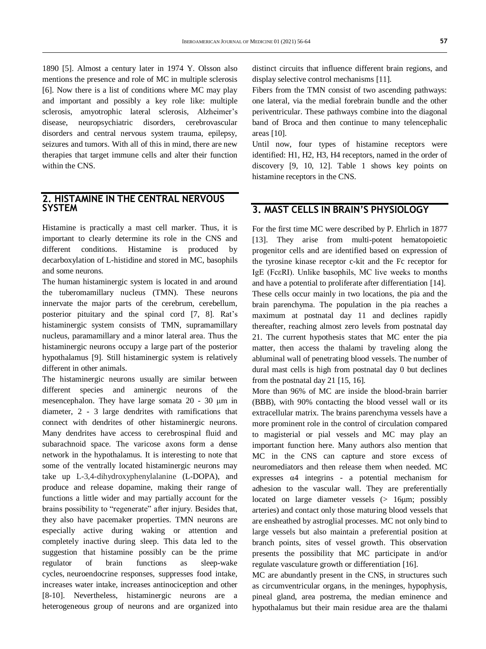1890 [5]. Almost a century later in 1974 Y. Olsson also mentions the presence and role of MC in multiple sclerosis [6]. Now there is a list of conditions where MC may play and important and possibly a key role like: multiple sclerosis, amyotrophic lateral sclerosis, Alzheimer's disease, neuropsychiatric disorders, cerebrovascular disorders and central nervous system trauma, epilepsy, seizures and tumors. With all of this in mind, there are new therapies that target immune cells and alter their function within the CNS.

### **2. HISTAMINE IN THE CENTRAL NERVOUS SYSTEM**

Histamine is practically a mast cell marker. Thus, it is important to clearly determine its role in the CNS and different conditions. Histamine is produced by decarboxylation of L-histidine and stored in MC, basophils and some neurons.

The human histaminergic system is located in and around the tuberomamillary nucleus (TMN). These neurons innervate the major parts of the cerebrum, cerebellum, posterior pituitary and the spinal cord [7, 8]. Rat's histaminergic system consists of TMN, supramamillary nucleus, paramamillary and a minor lateral area. Thus the histaminergic neurons occupy a large part of the posterior hypothalamus [9]. Still histaminergic system is relatively different in other animals.

The histaminergic neurons usually are similar between different species and aminergic neurons of the mesencephalon. They have large somata 20 - 30 μm in diameter, 2 - 3 large dendrites with ramifications that connect with dendrites of other histaminergic neurons. Many dendrites have access to cerebrospinal fluid and subarachnoid space. The varicose axons form a dense network in the hypothalamus. It is interesting to note that some of the ventrally located histaminergic neurons may take up L-3,4-dihydroxyphenylalanine (L-DOPA), and produce and release dopamine, making their range of functions a little wider and may partially account for the brains possibility to "regenerate" after injury. Besides that, they also have pacemaker properties. TMN neurons are especially active during waking or attention and completely inactive during sleep. This data led to the suggestion that histamine possibly can be the prime regulator of brain functions as sleep-wake cycles, neuroendocrine responses, suppresses food intake, increases water intake, increases antinociception and other [8-10]. Nevertheless, histaminergic neurons are a heterogeneous group of neurons and are organized into

distinct circuits that influence different brain regions, and display selective control mechanisms [11].

Fibers from the TMN consist of two ascending pathways: one lateral, via the medial forebrain bundle and the other periventricular. These pathways combine into the diagonal band of Broca and then continue to many telencephalic areas [10].

Until now, four types of histamine receptors were identified: H1, H2, H3, H4 receptors, named in the order of discovery [9, 10, 12]. Table 1 shows key points on histamine receptors in the CNS.

# **3. MAST CELLS IN BRAIN'S PHYSIOLOGY**

For the first time MC were described by P. Ehrlich in 1877 [13]. They arise from multi-potent hematopoietic progenitor cells and are identified based on expression of the tyrosine kinase receptor c-kit and the Fc receptor for IgE (FcεRI). Unlike basophils, MC live weeks to months and have a potential to proliferate after differentiation [14]. These cells occur mainly in two locations, the pia and the brain parenchyma. The population in the pia reaches a maximum at postnatal day 11 and declines rapidly thereafter, reaching almost zero levels from postnatal day 21. The current hypothesis states that MC enter the pia matter, then access the thalami by traveling along the abluminal wall of penetrating blood vessels. The number of dural mast cells is high from postnatal day 0 but declines from the postnatal day 21 [15, 16].

More than 96% of MC are inside the blood-brain barrier (BBB), with 90% contacting the blood vessel wall or its extracellular matrix. The brains parenchyma vessels have a more prominent role in the control of circulation compared to magisterial or pial vessels and MC may play an important function here. Many authors also mention that MC in the CNS can capture and store excess of neuromediators and then release them when needed. MC expresses  $\alpha$ 4 integrins - a potential mechanism for adhesion to the vascular wall. They are preferentially located on large diameter vessels (> 16μm; possibly arteries) and contact only those maturing blood vessels that are ensheathed by astroglial processes. MC not only bind to large vessels but also maintain a preferential position at branch points, sites of vessel growth. This observation presents the possibility that MC participate in and/or regulate vasculature growth or differentiation [16].

MC are abundantly present in the CNS, in structures such as circumventricular organs, in the meninges, hypophysis, pineal gland, area postrema, the median eminence and hypothalamus but their main residue area are the thalami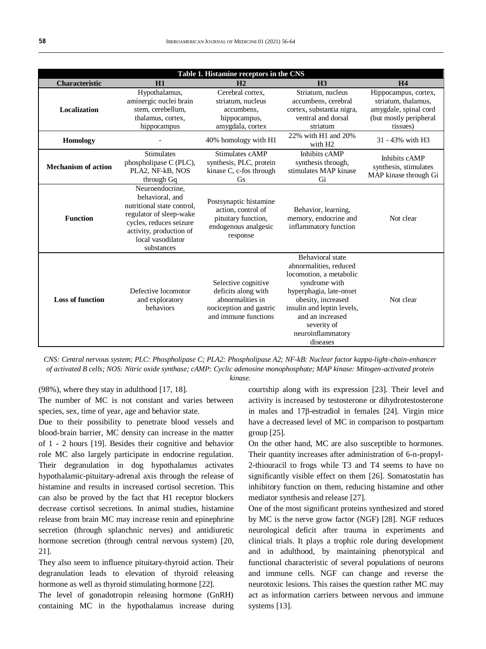| Table 1. Histamine receptors in the CNS |                                                                                                                                                                                      |                                                                                                                   |                                                                                                                                                                                                                                                  |                                                                                                            |  |
|-----------------------------------------|--------------------------------------------------------------------------------------------------------------------------------------------------------------------------------------|-------------------------------------------------------------------------------------------------------------------|--------------------------------------------------------------------------------------------------------------------------------------------------------------------------------------------------------------------------------------------------|------------------------------------------------------------------------------------------------------------|--|
| <b>Characteristic</b>                   | H1                                                                                                                                                                                   | H <sub>2</sub>                                                                                                    | H <sub>3</sub>                                                                                                                                                                                                                                   | <b>H4</b>                                                                                                  |  |
| <b>Localization</b>                     | Hypothalamus,<br>aminergic nuclei brain<br>stem, cerebellum,<br>thalamus, cortex,<br>hippocampus                                                                                     | Cerebral cortex.<br>striatum, nucleus<br>accumbens.<br>hippocampus,<br>amygdala, cortex                           | Striatum, nucleus<br>accumbens, cerebral<br>cortex, substantia nigra,<br>ventral and dorsal<br>striatum                                                                                                                                          | Hippocampus, cortex,<br>striatum, thalamus,<br>amygdale, spinal cord<br>(but mostly peripheral<br>tissues) |  |
| <b>Homology</b>                         |                                                                                                                                                                                      | 40% homology with H1                                                                                              | 22% with H1 and 20%<br>with H <sub>2</sub>                                                                                                                                                                                                       | 31 - 43% with H3                                                                                           |  |
| <b>Mechanism of action</b>              | <b>Stimulates</b><br>phospholipase C (PLC),<br>PLA2, NF-kB, NOS<br>through Gq                                                                                                        | Stimulates cAMP<br>synthesis, PLC, protein<br>kinase C, c-fos through<br>Gs                                       | Inhibits cAMP<br>synthesis through,<br>stimulates MAP kinase<br>Gi                                                                                                                                                                               | Inhibits cAMP<br>synthesis, stimulates<br>MAP kinase through Gi                                            |  |
| <b>Function</b>                         | Neuroendocrine.<br>behavioral, and<br>nutritional state control.<br>regulator of sleep-wake<br>cycles, reduces seizure<br>activity, production of<br>local vasodilator<br>substances | Postsynaptic histamine<br>action, control of<br>pituitary function,<br>endogenous analgesic<br>response           | Behavior, learning,<br>memory, endocrine and<br>inflammatory function                                                                                                                                                                            | Not clear                                                                                                  |  |
| <b>Loss of function</b>                 | Defective locomotor<br>and exploratory<br>behaviors                                                                                                                                  | Selective cognitive<br>deficits along with<br>abnormalities in<br>nociception and gastric<br>and immune functions | <b>Behavioral</b> state<br>abnormalities, reduced<br>locomotion, a metabolic<br>syndrome with<br>hyperphagia, late-onset<br>obesity, increased<br>insulin and leptin levels,<br>and an increased<br>severity of<br>neuroinflammatory<br>diseases | Not clear                                                                                                  |  |

*CNS: Central nervous system; PLC: Phospholipase C; PLA2: Phospholipase A2; NF-kB: Nuclear factor kappa-light-chain-enhancer of activated B cells; NOS: Nitric oxide synthase; cAMP: Cyclic adenosine monophosphate; MAP kinase: Mitogen-activated protein kinase.*

(98%), where they stay in adulthood [17, 18].

The number of MC is not constant and varies between species, sex, time of year, age and behavior state.

Due to their possibility to penetrate blood vessels and blood-brain barrier, MC density can increase in the matter of 1 - 2 hours [19]. Besides their cognitive and behavior role MC also largely participate in endocrine regulation. Their degranulation in dog hypothalamus activates hypothalamic-pituitary-adrenal axis through the release of histamine and results in increased cortisol secretion. This can also be proved by the fact that H1 receptor blockers decrease cortisol secretions. In animal studies, histamine release from brain MC may increase renin and epinephrine secretion (through splanchnic nerves) and antidiuretic hormone secretion (through central nervous system) [20, 21].

They also seem to influence pituitary-thyroid action. Their degranulation leads to elevation of thyroid releasing hormone as well as thyroid stimulating hormone [22].

The level of gonadotropin releasing hormone (GnRH) containing MC in the hypothalamus increase during courtship along with its expression [23]. Their level and activity is increased by testosterone or dihydrotestosterone in males and 17β-estradiol in females [24]. Virgin mice have a decreased level of MC in comparison to postpartum group [25].

On the other hand, MC are also susceptible to hormones. Their quantity increases after administration of 6-n-propyl-2-thiouracil to frogs while T3 and T4 seems to have no significantly visible effect on them [26]. Somatostatin has inhibitory function on them, reducing histamine and other mediator synthesis and release [27].

One of the most significant proteins synthesized and stored by MC is the nerve grow factor (NGF) [28]. NGF reduces neurological deficit after trauma in experiments and clinical trials. It plays a trophic role during development and in adulthood, by maintaining phenotypical and functional characteristic of several populations of neurons and immune cells. NGF can change and reverse the neurotoxic lesions. This raises the question rather MC may act as information carriers between nervous and immune systems [13].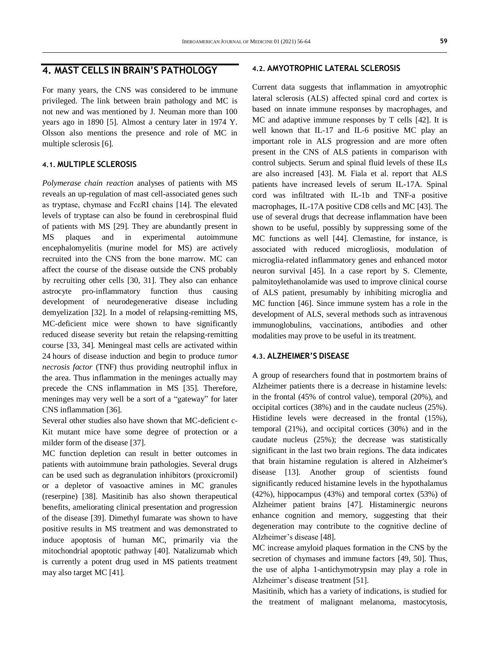### **4. MAST CELLS IN BRAIN'S PATHOLOGY**

For many years, the CNS was considered to be immune privileged. The link between brain pathology and MC is not new and was mentioned by J. Neuman more than 100 years ago in 1890 [5]. Almost a century later in 1974 Y. Olsson also mentions the presence and role of MC in multiple sclerosis [6].

#### **4.1. MULTIPLE SCLEROSIS**

*Polymerase chain reaction* analyses of patients with MS reveals an up-regulation of mast cell-associated genes such as tryptase, chymase and FcεRI chains [14]. The elevated levels of tryptase can also be found in cerebrospinal fluid of patients with MS [29]. They are abundantly present in MS plaques and in experimental autoimmune encephalomyelitis (murine model for MS) are actively recruited into the CNS from the bone marrow. MC can affect the course of the disease outside the CNS probably by recruiting other cells [30, 31]. They also can enhance astrocyte pro-inflammatory function thus causing development of neurodegenerative disease including demyelization [32]. In a model of relapsing-remitting MS, MC-deficient mice were shown to have significantly reduced disease severity but retain the relapsing-remitting course [33, 34]. Meningeal mast cells are activated within 24 hours of disease induction and begin to produce *tumor necrosis factor* (TNF) thus providing neutrophil influx in the area. Thus inflammation in the meninges actually may precede the CNS inflammation in MS [35]. Therefore, meninges may very well be a sort of a "gateway" for later CNS inflammation [36].

Several other studies also have shown that MC-deficient c-Kit mutant mice have some degree of protection or a milder form of the disease [37].

MC function depletion can result in better outcomes in patients with autoimmune brain pathologies. Several drugs can be used such as degranulation inhibitors (proxicromil) or a depletor of vasoactive amines in MC granules (reserpine) [38]. Masitinib has also shown therapeutical benefits, ameliorating clinical presentation and progression of the disease [39]. Dimethyl fumarate was shown to have positive results in MS treatment and was demonstrated to induce apoptosis of human MC, primarily via the mitochondrial apoptotic pathway [40]. Natalizumab which is currently a potent drug used in MS patients treatment may also target MC [41].

#### **4.2. AMYOTROPHIC LATERAL SCLEROSIS**

Current data suggests that inflammation in amyotrophic lateral sclerosis (ALS) affected spinal cord and cortex is based on innate immune responses by macrophages, and MC and adaptive immune responses by T cells [42]. It is well known that IL-17 and IL-6 positive MC play an important role in ALS progression and are more often present in the CNS of ALS patients in comparison with control subjects. Serum and spinal fluid levels of these ILs are also increased [43]. M. Fiala et al. report that ALS patients have increased levels of serum IL-17A. Spinal cord was infiltrated with IL-1b and TNF-a positive macrophages, IL-17A positive CD8 cells and MC [43]. The use of several drugs that decrease inflammation have been shown to be useful, possibly by suppressing some of the MC functions as well [44]. Clemastine, for instance, is associated with reduced microgliosis, modulation of microglia-related inflammatory genes and enhanced motor neuron survival [45]. In a case report by S. Clemente, palmitoylethanolamide was used to improve clinical course of ALS patient, presumably by inhibiting microglia and MC function [46]. Since immune system has a role in the development of ALS, several methods such as intravenous immunoglobulins, vaccinations, antibodies and other modalities may prove to be useful in its treatment.

#### **4.3. ALZHEIMER'S DISEASE**

A group of researchers found that in postmortem brains of Alzheimer patients there is a decrease in histamine levels: in the frontal (45% of control value), temporal (20%), and occipital cortices (38%) and in the caudate nucleus (25%). Histidine levels were decreased in the frontal (15%), temporal (21%), and occipital cortices (30%) and in the caudate nucleus (25%); the decrease was statistically significant in the last two brain regions. The data indicates that brain histamine regulation is altered in Alzheimer's disease [13]. Another group of scientists found significantly reduced histamine levels in the hypothalamus (42%), hippocampus (43%) and temporal cortex (53%) of Alzheimer patient brains [47]. Histaminergic neurons enhance cognition and memory, suggesting that their degeneration may contribute to the cognitive decline of Alzheimer's disease [48].

MC increase amyloid plaques formation in the CNS by the secretion of chymases and immune factors [49, 50]. Thus, the use of alpha 1-antichymotrypsin may play a role in Alzheimer's disease treatment [51].

Masitinib, which has a variety of indications, is studied for the treatment of malignant melanoma, mastocytosis,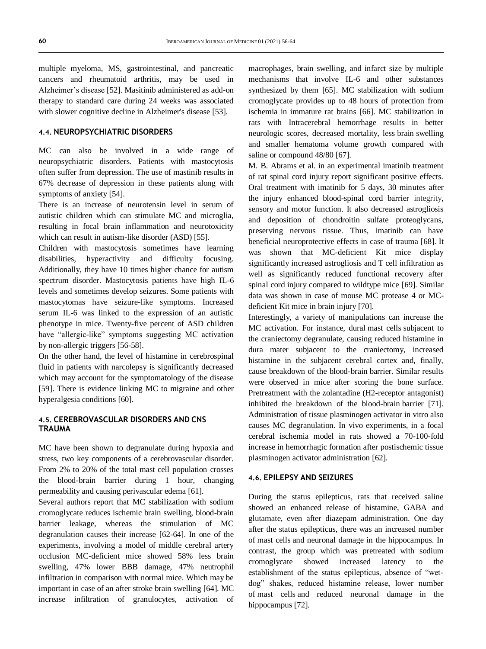multiple myeloma, MS, gastrointestinal, and pancreatic cancers and rheumatoid arthritis, may be used in Alzheimer's disease [52]. Masitinib administered as add-on therapy to standard care during 24 weeks was associated with slower cognitive decline in Alzheimer's disease [53].

#### **4.4. NEUROPSYCHIATRIC DISORDERS**

MC can also be involved in a wide range of neuropsychiatric disorders. Patients with mastocytosis often suffer from depression. The use of mastinib results in 67% decrease of depression in these patients along with symptoms of anxiety [54].

There is an increase of neurotensin level in serum of autistic children which can stimulate MC and microglia, resulting in focal brain inflammation and neurotoxicity which can result in autism-like disorder (ASD) [55].

Children with mastocytosis sometimes have learning disabilities, hyperactivity and difficulty focusing. Additionally, they have 10 times higher chance for autism spectrum disorder. Mastocytosis patients have high IL-6 levels and sometimes develop seizures. Some patients with mastocytomas have seizure-like symptoms. Increased serum IL-6 was linked to the expression of an autistic phenotype in mice. Twenty-five percent of ASD children have "allergic-like" symptoms suggesting MC activation by non-allergic triggers [56-58].

On the other hand, the level of histamine in cerebrospinal fluid in patients with narcolepsy is significantly decreased which may account for the symptomatology of the disease [59]. There is evidence linking MC to migraine and other hyperalgesia conditions [60].

#### **4.5. CEREBROVASCULAR DISORDERS AND CNS TRAUMA**

MC have been shown to degranulate during hypoxia and stress, two key components of a cerebrovascular disorder. From 2% to 20% of the total mast cell population crosses the blood-brain barrier during 1 hour, changing permeability and causing perivascular edema [61].

Several authors report that MC stabilization with sodium cromoglycate reduces ischemic brain swelling, blood-brain barrier leakage, whereas the stimulation of MC degranulation causes their increase [62-64]. In one of the experiments, involving a model of middle cerebral artery occlusion MC-deficient mice showed 58% less brain swelling, 47% lower BBB damage, 47% neutrophil infiltration in comparison with normal mice. Which may be important in case of an after stroke brain swelling [64]. MC increase infiltration of granulocytes, activation of macrophages, brain swelling, and infarct size by multiple mechanisms that involve IL-6 and other substances synthesized by them [65]. MC stabilization with sodium cromoglycate provides up to 48 hours of protection from ischemia in immature rat brains [66]. MC stabilization in rats with Intracerebral hemorrhage results in better neurologic scores, decreased mortality, less brain swelling and smaller hematoma volume growth compared with saline or compound 48/80 [67].

M. B. Abrams et al. in an experimental imatinib treatment of rat spinal cord injury report significant positive effects. Oral treatment with imatinib for 5 days, 30 minutes after the injury enhanced blood-spinal cord barrier integrity, sensory and motor function. It also decreased astrogliosis and deposition of chondroitin sulfate proteoglycans, preserving nervous tissue. Thus, imatinib can have beneficial neuroprotective effects in case of trauma [68]. It was shown that MC-deficient Kit mice display significantly increased astrogliosis and T cell infiltration as well as significantly reduced functional recovery after spinal cord injury compared to wildtype mice [69]. Similar data was shown in case of mouse MC protease 4 or MCdeficient Kit mice in brain injury [70].

Interestingly, a variety of manipulations can increase the MC activation. For instance, dural mast cells subjacent to the craniectomy degranulate, causing reduced histamine in dura mater subjacent to the craniectomy, increased histamine in the subjacent cerebral cortex and, finally, cause breakdown of the blood-brain barrier. Similar results were observed in mice after scoring the bone surface. Pretreatment with the zolantadine (H2-receptor antagonist) inhibited the breakdown of the blood-brain barrier [71]. Administration of tissue plasminogen activator in vitro also causes MC degranulation. In vivo experiments, in a focal cerebral ischemia model in rats showed a 70-100-fold increase in hemorrhagic formation after postischemic tissue plasminogen activator administration [62].

#### **4.6. EPILEPSY AND SEIZURES**

During the status epilepticus, rats that received saline showed an enhanced release of histamine, GABA and glutamate, even after diazepam administration. One day after the status epilepticus, there was an increased number of mast cells and neuronal damage in the hippocampus. In contrast, the group which was pretreated with sodium cromoglycate showed increased latency to the establishment of the status epilepticus, absence of "wetdog" shakes, reduced histamine release, lower number of mast cells and reduced neuronal damage in the hippocampus [72].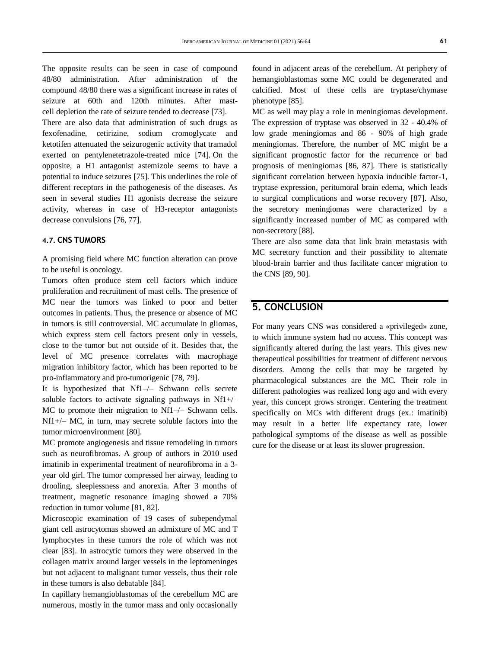The opposite results can be seen in case of compound 48/80 administration. After administration of the compound 48/80 there was a significant increase in rates of seizure at 60th and 120th minutes. After mastcell depletion the rate of seizure tended to decrease [73].

There are also data that administration of such drugs as fexofenadine, cetirizine, sodium cromoglycate and ketotifen attenuated the seizurogenic activity that tramadol exerted on pentylenetetrazole-treated mice [74]. On the opposite, a H1 antagonist astemizole seems to have a potential to induce seizures [75]. This underlines the role of different receptors in the pathogenesis of the diseases. As seen in several studies H1 agonists decrease the seizure activity, whereas in case of H3-receptor antagonists decrease convulsions [76, 77].

#### **4.7. CNS TUMORS**

A promising field where MC function alteration can prove to be useful is oncology.

Tumors often produce stem cell factors which induce proliferation and recruitment of mast cells. The presence of MC near the tumors was linked to poor and better outcomes in patients. Thus, the presence or absence of MC in tumors is still controversial. MC accumulate in gliomas, which express stem cell factors present only in vessels, close to the tumor but not outside of it. Besides that, the level of MC presence correlates with macrophage migration inhibitory factor, which has been reported to be pro-inflammatory and pro-tumorigenic [78, 79].

It is hypothesized that Nf1–/– Schwann cells secrete soluble factors to activate signaling pathways in Nf1+/– MC to promote their migration to Nf1–/– Schwann cells. Nf1+/– MC, in turn, may secrete soluble factors into the tumor microenvironment [80].

MC promote angiogenesis and tissue remodeling in tumors such as neurofibromas. A group of authors in 2010 used imatinib in experimental treatment of neurofibroma in a 3 year old girl. The tumor compressed her airway, leading to drooling, sleeplessness and anorexia. After 3 months of treatment, magnetic resonance imaging showed a 70% reduction in tumor volume [81, 82].

Microscopic examination of 19 cases of subependymal giant cell astrocytomas showed an admixture of MC and T lymphocytes in these tumors the role of which was not clear [83]. In astrocytic tumors they were observed in the collagen matrix around larger vessels in the leptomeninges but not adjacent to malignant tumor vessels, thus their role in these tumors is also debatable [84].

In capillary hemangioblastomas of the cerebellum MC are numerous, mostly in the tumor mass and only occasionally

found in adjacent areas of the cerebellum. At periphery of hemangioblastomas some MC could be degenerated and calcified. Most of these cells are tryptase/chymase phenotype [85].

MC as well may play a role in meningiomas development. The expression of tryptase was observed in 32 - 40.4% of low grade meningiomas and 86 - 90% of high grade meningiomas. Therefore, the number of MC might be a significant prognostic factor for the recurrence or bad prognosis of meningiomas [86, 87]. There is statistically significant correlation between hypoxia inducible factor-1, tryptase expression, peritumoral brain edema, which leads to surgical complications and worse recovery [87]. Also, the secretory meningiomas were characterized by a significantly increased number of MC as compared with non-secretory [88].

There are also some data that link brain metastasis with MC secretory function and their possibility to alternate blood-brain barrier and thus facilitate cancer migration to the CNS [89, 90].

## **5. CONCLUSION**

For many years CNS was considered a «privileged» zone, to which immune system had no access. This concept was significantly altered during the last years. This gives new therapeutical possibilities for treatment of different nervous disorders. Among the cells that may be targeted by pharmacological substances are the MC. Their role in different pathologies was realized long ago and with every year, this concept grows stronger. Centering the treatment specifically on MCs with different drugs (ex.: imatinib) may result in a better life expectancy rate, lower pathological symptoms of the disease as well as possible cure for the disease or at least its slower progression.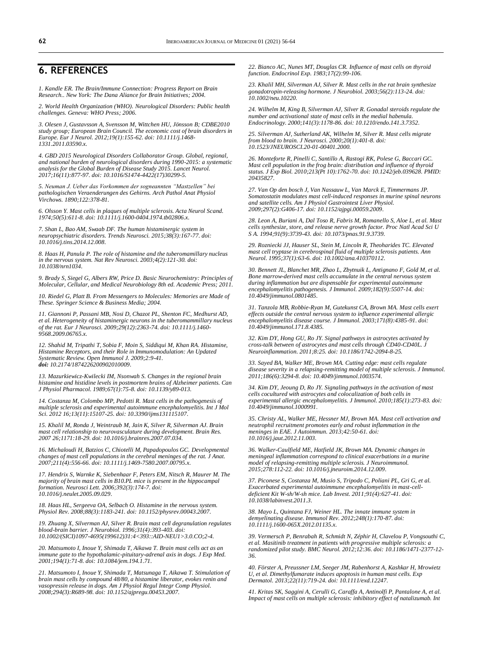### **6. REFERENCES**

*1. Kandle ER. The Brain/Immune Connection: Progress Report on Brain Research.. New York: The Dana Aliance for Brain Initiatives; 2004.*

*2. World Health Organization (WHO). Neurological Disorders: Public health challenges. Geneva: WHO Press; 2006.*

*3. Olesen J, Gustavsson A, Svensson M, Wittchen HU, Jönsson B; CDBE2010 study group; European Brain Council. The economic cost of brain disorders in Europe. Eur J Neurol. 2012;19(1):155-62. doi[: 10.1111/j.1468-](https://doi.org/10.1111/j.1468-1331.2011.03590.x) [1331.2011.03590.x.](https://doi.org/10.1111/j.1468-1331.2011.03590.x)* 

*4. GBD 2015 Neurological Disorders Collaborator Group. Global, regional, and national burden of neurological disorders during 1990-2015: a systematic analysis for the Global Burden of Disease Study 2015. Lancet Neurol. 2017;16(11):877-97. doi[: 10.1016/S1474-4422\(17\)30299-5.](https://doi.org/10.1016/s1474-4422(17)30299-5)*

*5. Neuman J. Ueber das Vorkommen der sogneannten "Mastzellen" bei pathologischen Veraenderungen des Gehirns. Arch Pathol Anat Physiol Virchows. 1890;122:378-81.*

*6. Olsson Y. Mast cells in plaques of multiple sclerosis. Acta Neurol Scand. 1974;50(5):611-8. doi: [10.1111/j.1600-0404.1974.tb02806.x.](https://doi.org/10.1111/j.1600-0404.1974.tb02806.x)* 

*7. Shan L, Bao AM, Swaab DF. The human histaminergic system in neuropsychiatric disorders. Trends Neurosci. 2015;38(3):167-77. doi: [10.1016/j.tins.2014.12.008.](https://doi.org/10.1016/j.tins.2014.12.008)* 

*8. Haas H, Panula P. The role of histamine and the tuberomamillary nucleus in the nervous system. Nat Rev Neurosci. 2003;4(2):121-30. doi: [10.1038/nrn1034.](https://doi.org/10.1038/nrn1034)* 

*9. Brady S, Siegel G, Albers RW, Price D. Basic Neurochemistry: Principles of Molecular, Cellular, and Medical Neurobiology 8th ed. Academic Press; 2011.*

*10. Riedel G, Platt B. From Messengers to Molecules: Memories are Made of These. Springer Science & Business Media; 2004.*

*11. Giannoni P, Passani MB, Nosi D, Chazot PL, Shenton FC, Medhurst AD, et al. Heterogeneity of histaminergic neurons in the tuberomammillary nucleus of the rat. Eur J Neurosci. 2009;29(12):2363-74. doi[: 10.1111/j.1460-](https://doi.org/10.1111/j.1460-9568.2009.06765.x) [9568.2009.06765.x.](https://doi.org/10.1111/j.1460-9568.2009.06765.x)* 

*12. Shahid M, Tripathi T, Sobia F, Moin S, Siddiqui M, Khan RA. Histamine, Histamine Receptors, and their Role in Immunomodulation: An Updated Systematic Review. Open Immunol J. 2009;2:9-41. doi: [10.2174/1874226200902010009.](http://dx.doi.org/10.2174/1874226200902010009)*

*13. Mazurkiewicz-Kwilecki IM, Nsonwah S. Changes in the regional brain histamine and histidine levels in postmortem brains of Alzheimer patients. Can J Physiol Pharmacol. 1989;67(1):75-8. doi[: 10.1139/y89-013.](https://doi.org/10.1139/y89-013)* 

*14. Costanza M, Colombo MP, Pedotti R. Mast cells in the pathogenesis of multiple sclerosis and experimental autoimmune encephalomyelitis. Int J Mol Sci. 2012 16;13(11):15107-25. doi[: 10.3390/ijms131115107.](https://doi.org/10.3390/ijms131115107)* 

*15. Khalil M, Ronda J, Weintraub M, Jain K, Silver R, Silverman AJ. Brain mast cell relationship to neurovasculature during development. Brain Res. 2007 26;1171:18-29. doi[: 10.1016/j.brainres.2007.07.034.](https://doi.org/10.1016/j.brainres.2007.07.034)* 

*16. Michaloudi H, Batzios C, Chiotelli M, Papadopoulos GC. Developmental changes of mast cell populations in the cerebral meninges of the rat. J Anat. 2007;211(4):556-66. doi[: 10.1111/j.1469-7580.2007.00795.x.](https://doi.org/10.1111/j.1469-7580.2007.00795.x)* 

*17. Hendrix S, Warnke K, Siebenhaar F, Peters EM, Nitsch R, Maurer M. The majority of brain mast cells in B10.PL mice is present in the hippocampal formation. Neurosci Lett. 2006;392(3):174-7. doi: [10.1016/j.neulet.2005.09.029.](https://doi.org/10.1016/j.neulet.2005.09.029)* 

*18. Haas HL, Sergeeva OA, Selbach O. Histamine in the nervous system. Physiol Rev. 2008;88(3):1183-241. doi[: 10.1152/physrev.00043.2007.](https://doi.org/10.1152/physrev.00043.2007)* 

*19. Zhuang X, Silverman AJ, Silver R. Brain mast cell degranulation regulates blood-brain barrier. J Neurobiol. 1996;31(4):393-403. doi: [10.1002/\(SICI\)1097-4695\(199612\)31:4<393::AID-NEU1>3.0.CO;2-4.](https://doi.org/10.1002/(sici)1097-4695(199612)31:4%3C393::aid-neu1%3E3.0.co;2-4)* 

*20. Matsumoto I, Inoue Y, Shimada T, Aikawa T. Brain mast cells act as an immune gate to the hypothalamic-pituitary-adrenal axis in dogs. J Exp Med. 2001;194(1):71-8. doi: [10.1084/jem.194.1.71.](https://doi.org/10.1084/jem.194.1.71)* 

*21. Matsumoto I, Inoue Y, Shimada T, Matsunaga T, Aikawa T. Stimulation of brain mast cells by compound 48/80, a histamine liberator, evokes renin and vasopressin release in dogs. Am J Physiol Regul Integr Comp Physiol. 2008;294(3):R689-98. doi[: 10.1152/ajpregu.00453.2007.](https://doi.org/10.1152/ajpregu.00453.2007)* 

*22. Bianco AC, Nunes MT, Douglas CR. Influence of mast cells on thyroid function. Endocrinol Exp. 1983;17(2):99-106.* 

*23. Khalil MH, Silverman AJ, Silver R. Mast cells in the rat brain synthesize gonadotropin-releasing hormone. J Neurobiol. 2003;56(2):113-24. doi: [10.1002/neu.10220.](https://doi.org/10.1002/neu.10220)* 

*24. Wilhelm M, King B, Silverman AJ, Silver R. Gonadal steroids regulate the number and activational state of mast cells in the medial habenula. Endocrinology. 2000;141(3):1178-86. doi[: 10.1210/endo.141.3.7352.](https://doi.org/10.1210/endo.141.3.7352)* 

*25. Silverman AJ, Sutherland AK, Wilhelm M, Silver R. Mast cells migrate from blood to brain. J Neurosci. 2000;20(1):401-8. doi: [10.1523/JNEUROSCI.20-01-00401.2000.](https://doi.org/10.1523/jneurosci.20-01-00401.2000)* 

*26. Monteforte R, Pinelli C, Santillo A, Rastogi RK, Polese G, Baccari GC. Mast cell population in the frog brain: distribution and influence of thyroid status. J Exp Biol. 2010;213(Pt 10):1762-70. doi[: 10.1242/jeb.039628. PMID:](https://doi.org/10.1242/jeb.039628)  [20435827.](https://doi.org/10.1242/jeb.039628)* 

*27. Van Op den bosch J, Van Nassauw L, Van Marck E, Timmermans JP. Somatostatin modulates mast cell-induced responses in murine spinal neurons and satellite cells. Am J Physiol Gastrointest Liver Physiol. 2009;297(2):G406-17. doi[: 10.1152/ajpgi.00059.2009.](https://doi.org/10.1152/ajpgi.00059.2009)* 

*28. Leon A, Buriani A, Dal Toso R, Fabris M, Romanello S, Aloe L, et al. Mast cells synthesize, store, and release nerve growth factor. Proc Natl Acad Sci U S A. 1994;91(9):3739-43. doi[: 10.1073/pnas.91.9.3739.](https://doi.org/10.1073/pnas.91.9.3739)* 

*29. Rozniecki JJ, Hauser SL, Stein M, Lincoln R, Theoharides TC. Elevated mast cell tryptase in cerebrospinal fluid of multiple sclerosis patients. Ann Neurol. 1995;37(1):63-6. doi[: 10.1002/ana.410370112.](https://doi.org/10.1002/ana.410370112)* 

*30. Bennett JL, Blanchet MR, Zhao L, Zbytnuik L, Antignano F, Gold M, et al. Bone marrow-derived mast cells accumulate in the central nervous system during inflammation but are dispensable for experimental autoimmune encephalomyelitis pathogenesis. J Immunol. 2009;182(9):5507-14. doi: [10.4049/jimmunol.0801485.](https://doi.org/10.4049/jimmunol.0801485)* 

*31. Tanzola MB, Robbie-Ryan M, Gutekunst CA, Brown MA. Mast cells exert effects outside the central nervous system to influence experimental allergic encephalomyelitis disease course. J Immunol. 2003;171(8):4385-91. doi: [10.4049/jimmunol.171.8.4385.](https://doi.org/10.4049/jimmunol.171.8.4385)* 

*32. Kim DY, Hong GU, Ro JY. Signal pathways in astrocytes activated by cross-talk between of astrocytes and mast cells through CD40-CD40L. J Neuroinflammation. 2011;8:25. doi[: 10.1186/1742-2094-8-25.](https://doi.org/10.1186/1742-2094-8-25)* 

*33. Sayed BA, Walker ME, Brown MA. Cutting edge: mast cells regulate disease severity in a relapsing-remitting model of multiple sclerosis. J Immunol. 2011;186(6):3294-8. doi[: 10.4049/jimmunol.1003574.](https://doi.org/10.4049/jimmunol.1003574)* 

*34. Kim DY, Jeoung D, Ro JY. Signaling pathways in the activation of mast cells cocultured with astrocytes and colocalization of both cells in experimental allergic encephalomyelitis. J Immunol. 2010;185(1):273-83. doi: [10.4049/jimmunol.1000991.](https://doi.org/10.4049/jimmunol.1000991)* 

*35. Christy AL, Walker ME, Hessner MJ, Brown MA. Mast cell activation and neutrophil recruitment promotes early and robust inflammation in the meninges in EAE. J Autoimmun. 2013;42:50-61. doi: [10.1016/j.jaut.2012.11.003.](https://doi.org/10.1016/j.jaut.2012.11.003)* 

*36. Walker-Caulfield ME, Hatfield JK, Brown MA. Dynamic changes in meningeal inflammation correspond to clinical exacerbations in a murine model of relapsing-remitting multiple sclerosis. J Neuroimmunol. 2015;278:112-22. doi[: 10.1016/j.jneuroim.2014.12.009.](https://doi.org/10.1016/j.jneuroim.2014.12.009)* 

*37. Piconese S, Costanza M, Musio S, Tripodo C, Poliani PL, Gri G, et al. Exacerbated experimental autoimmune encephalomyelitis in mast-celldeficient Kit W-sh/W-sh mice. Lab Invest. 2011;91(4):627-41. doi: [10.1038/labinvest.2011.3.](https://doi.org/10.1038/labinvest.2011.3)* 

*38. Mayo L, Quintana FJ, Weiner HL. The innate immune system in demyelinating disease. Immunol Rev. 2012;248(1):170-87. doi: [10.1111/j.1600-065X.2012.01135.x.](https://doi.org/10.1111/j.1600-065x.2012.01135.x)* 

*39. Vermersch P, Benrabah R, Schmidt N, Zéphir H, Clavelou P, Vongsouthi C, et al. Masitinib treatment in patients with progressive multiple sclerosis: a randomized pilot study. BMC Neurol. 2012;12:36. doi[: 10.1186/1471-2377-12-](https://doi.org/10.1186/1471-2377-12-36) [36.](https://doi.org/10.1186/1471-2377-12-36)* 

*40. Förster A, Preussner LM, Seeger JM, Rabenhorst A, Kashkar H, Mrowietz U, et al. Dimethylfumarate induces apoptosis in human mast cells. Exp Dermatol. 2013;22(11):719-24. doi[: 10.1111/exd.12247.](https://doi.org/10.1111/exd.12247)* 

*41. Kritas SK, Saggini A, Cerulli G, Caraffa A, Antinolfi P, Pantalone A, et al. Impact of mast cells on multiple sclerosis: inhibitory effect of natalizumab. Int*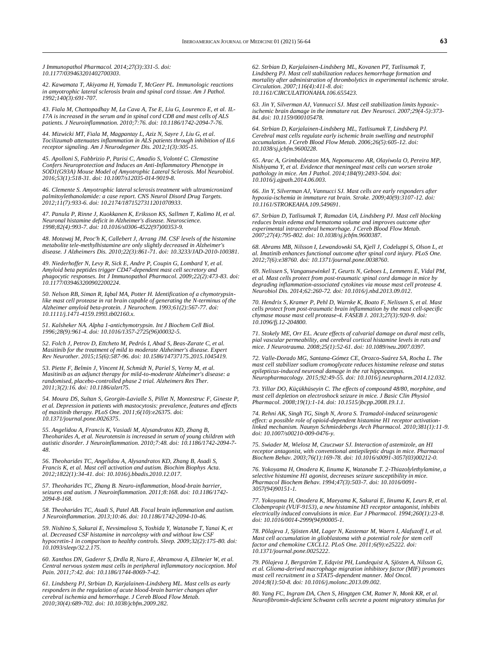*J Immunopathol Pharmacol. 2014;27(3):331-5. doi: [10.1177/039463201402700303.](https://doi.org/10.1177/039463201402700303)* 

*42. Kawamata T, Akiyama H, Yamada T, McGeer PL. Immunologic reactions in amyotrophic lateral sclerosis brain and spinal cord tissue. Am J Pathol. 1992;140(3):691-707.* 

*43. Fiala M, Chattopadhay M, La Cava A, Tse E, Liu G, Lourenco E, et al. IL-17A is increased in the serum and in spinal cord CD8 and mast cells of ALS patients. J Neuroinflammation. 2010;7:76. doi[: 10.1186/1742-2094-7-76.](https://doi.org/10.1186/1742-2094-7-76)* 

*44. Mizwicki MT, Fiala M, Magpantay L, Aziz N, Sayre J, Liu G, et al. Tocilizumab attenuates inflammation in ALS patients through inhibition of IL6 receptor signaling. Am J Neurodegener Dis. 2012;1(3):305-15.* 

*45. Apolloni S, Fabbrizio P, Parisi C, Amadio S, Volonté C. Clemastine Confers Neuroprotection and Induces an Anti-Inflammatory Phenotype in SOD1(G93A) Mouse Model of Amyotrophic Lateral Sclerosis. Mol Neurobiol. 2016;53(1):518-31. doi[: 10.1007/s12035-014-9019-8.](https://doi.org/10.1007/s12035-014-9019-8)* 

*46. Clemente S. Amyotrophic lateral sclerosis treatment with ultramicronized palmitoylethanolamide: a case report. CNS Neurol Disord Drug Targets. 2012;11(7):933-6. doi[: 10.2174/1871527311201070933.](https://doi.org/10.2174/1871527311201070933)* 

*47. Panula P, Rinne J, Kuokkanen K, Eriksson KS, Sallmen T, Kalimo H, et al. Neuronal histamine deficit in Alzheimer's disease. Neuroscience. 1998;82(4):993-7. doi[: 10.1016/s0306-4522\(97\)00353-9.](https://doi.org/10.1016/s0306-4522(97)00353-9)* 

*48. Motawaj M, Peoc'h K, Callebert J, Arrang JM. CSF levels of the histamine metabolite tele-methylhistamine are only slightly decreased in Alzheimer's disease. J Alzheimers Dis. 2010;22(3):861-71. doi[: 10.3233/JAD-2010-100381.](https://doi.org/10.3233/jad-2010-100381)* 

*49. Niederhoffer N, Levy R, Sick E, Andre P, Coupin G, Lombard Y, et al. Amyloid beta peptides trigger CD47-dependent mast cell secretory and phagocytic responses. Int J Immunopathol Pharmacol. 2009;22(2):473-83. doi: [10.1177/039463200902200224.](https://doi.org/10.1177/039463200902200224)* 

*50. Nelson RB, Siman R, Iqbal MA, Potter H. Identification of a chymotrypsinlike mast cell protease in rat brain capable of generating the N-terminus of the Alzheimer amyloid beta-protein. J Neurochem. 1993;61(2):567-77. doi: [10.1111/j.1471-4159.1993.tb02160.x.](https://doi.org/10.1111/j.1471-4159.1993.tb02160.x)* 

*51. Kalsheker NA. Alpha 1-antichymotrypsin. Int J Biochem Cell Biol. 1996;28(9):961-4. doi[: 10.1016/1357-2725\(96\)00032-5.](https://doi.org/10.1016/1357-2725(96)00032-5)* 

*52. Folch J, Petrov D, Ettcheto M, Pedrós I, Abad S, Beas-Zarate C, et al. Masitinib for the treatment of mild to moderate Alzheimer's disease. Expert Rev Neurother. 2015;15(6):587-96. doi[: 10.1586/14737175.2015.1045419.](https://doi.org/10.1586/14737175.2015.1045419)* 

*53. Piette F, Belmin J, Vincent H, Schmidt N, Pariel S, Verny M, et al. Masitinib as an adjunct therapy for mild-to-moderate Alzheimer's disease: a randomised, placebo-controlled phase 2 trial. Alzheimers Res Ther. 2011;3(2):16. doi[: 10.1186/alzrt75.](https://doi.org/10.1186/alzrt75)* 

*54. Moura DS, Sultan S, Georgin-Lavialle S, Pillet N, Montestruc F, Gineste P, et al. Depression in patients with mastocytosis: prevalence, features and effects of masitinib therapy. PLoS One. 2011;6(10):e26375. doi: [10.1371/journal.pone.0026375.](https://doi.org/10.1371/journal.pone.0026375)* 

*55. Angelidou A, Francis K, Vasiadi M, Alysandratos KD, Zhang B, Theoharides A, et al. Neurotensin is increased in serum of young children with autistic disorder. J Neuroinflammation. 2010;7:48. doi[: 10.1186/1742-2094-7-](https://doi.org/10.1186/1742-2094-7-48) [48.](https://doi.org/10.1186/1742-2094-7-48)* 

*56. Theoharides TC, Angelidou A, Alysandratos KD, Zhang B, Asadi S, Francis K, et al. Mast cell activation and autism. Biochim Biophys Acta. 2012;1822(1):34-41. doi[: 10.1016/j.bbadis.2010.12.017.](https://doi.org/10.1016/j.bbadis.2010.12.017)* 

*57. Theoharides TC, Zhang B. Neuro-inflammation, blood-brain barrier, seizures and autism. J Neuroinflammation. 2011;8:168. doi[: 10.1186/1742-](https://doi.org/10.1186/1742-2094-8-168) [2094-8-168.](https://doi.org/10.1186/1742-2094-8-168)* 

*58. Theoharides TC, Asadi S, Patel AB. Focal brain inflammation and autism. J Neuroinflammation. 2013;10:46. doi[: 10.1186/1742-2094-10-46.](https://doi.org/10.1186/1742-2094-10-46)* 

*59. Nishino S, Sakurai E, Nevsimalova S, Yoshida Y, Watanabe T, Yanai K, et al. Decreased CSF histamine in narcolepsy with and without low CSF hypocretin-1 in comparison to healthy controls. Sleep. 2009;32(2):175-80. doi: [10.1093/sleep/32.2.175.](https://doi.org/10.1093/sleep/32.2.175)* 

*60. Xanthos DN, Gaderer S, Drdla R, Nuro E, Abramova A, Ellmeier W, et al. Central nervous system mast cells in peripheral inflammatory nociception. Mol Pain. 2011;7:42. doi: [10.1186/1744-8069-7-42.](https://doi.org/10.1186/1744-8069-7-42)* 

*61. Lindsberg PJ, Strbian D, Karjalainen-Lindsberg ML. Mast cells as early responders in the regulation of acute blood-brain barrier changes after cerebral ischemia and hemorrhage. J Cereb Blood Flow Metab. 2010;30(4):689-702. doi[: 10.1038/jcbfm.2009.282.](https://doi.org/10.1038/jcbfm.2009.282)* 

*62. Strbian D, Karjalainen-Lindsberg ML, Kovanen PT, Tatlisumak T, Lindsberg PJ. Mast cell stabilization reduces hemorrhage formation and mortality after administration of thrombolytics in experimental ischemic stroke. Circulation. 2007;116(4):411-8. doi: [10.1161/CIRCULATIONAHA.106.655423.](https://doi.org/10.1161/circulationaha.106.655423)* 

*63. Jin Y, Silverman AJ, Vannucci SJ. Mast cell stabilization limits hypoxicischemic brain damage in the immature rat. Dev Neurosci. 2007;29(4-5):373- 84. doi[: 10.1159/000105478.](https://doi.org/10.1159/000105478)* 

*64. Strbian D, Karjalainen-Lindsberg ML, Tatlisumak T, Lindsberg PJ. Cerebral mast cells regulate early ischemic brain swelling and neutrophil accumulation. J Cereb Blood Flow Metab. 2006;26(5):605-12. doi: [10.1038/sj.jcbfm.9600228.](https://doi.org/10.1038/sj.jcbfm.9600228)* 

*65. Arac A, Grimbaldeston MA, Nepomuceno AR, Olayiwola O, Pereira MP, Nishiyama Y, et al. Evidence that meningeal mast cells can worsen stroke pathology in mice. Am J Pathol. 2014;184(9):2493-504. doi: [10.1016/j.ajpath.2014.06.003.](https://doi.org/10.1016/j.ajpath.2014.06.003)* 

*66. Jin Y, Silverman AJ, Vannucci SJ. Mast cells are early responders after hypoxia-ischemia in immature rat brain. Stroke. 2009;40(9):3107-12. doi: [10.1161/STROKEAHA.109.549691.](https://doi.org/10.1161/strokeaha.109.549691)* 

*67. Strbian D, Tatlisumak T, Ramadan UA, Lindsberg PJ. Mast cell blocking reduces brain edema and hematoma volume and improves outcome after experimental intracerebral hemorrhage. J Cereb Blood Flow Metab. 2007;27(4):795-802. doi[: 10.1038/sj.jcbfm.9600387.](https://doi.org/10.1038/sj.jcbfm.9600387)* 

*68. Abrams MB, Nilsson I, Lewandowski SA, Kjell J, Codeluppi S, Olson L, et al. Imatinib enhances functional outcome after spinal cord injury. PLoS One. 2012;7(6):e38760. doi[: 10.1371/journal.pone.0038760.](https://doi.org/10.1371/journal.pone.0038760)* 

*69. Nelissen S, Vangansewinkel T, Geurts N, Geboes L, Lemmens E, Vidal PM, et al. Mast cells protect from post-traumatic spinal cord damage in mice by degrading inflammation-associated cytokines via mouse mast cell protease 4. Neurobiol Dis. 2014;62:260-72. doi[: 10.1016/j.nbd.2013.09.012.](https://doi.org/10.1016/j.nbd.2013.09.012)* 

*70. Hendrix S, Kramer P, Pehl D, Warnke K, Boato F, Nelissen S, et al. Mast cells protect from post-traumatic brain inflammation by the mast cell-specific chymase mouse mast cell protease-4. FASEB J. 2013;27(3):920-9. doi: [10.1096/fj.12-204800.](https://doi.org/10.1096/fj.12-204800)* 

*71. Stokely ME, Orr EL. Acute effects of calvarial damage on dural mast cells, pial vascular permeability, and cerebral cortical histamine levels in rats and mice. J Neurotrauma. 2008;25(1):52-61. doi[: 10.1089/neu.2007.0397.](https://doi.org/10.1089/neu.2007.0397)* 

*72. Valle-Dorado MG, Santana-Gómez CE, Orozco-Suárez SA, Rocha L. The mast cell stabilizer sodium cromoglycate reduces histamine release and status epilepticus-induced neuronal damage in the rat hippocampus. Neuropharmacology. 2015;92:49-55. doi[: 10.1016/j.neuropharm.2014.12.032.](https://doi.org/10.1016/j.neuropharm.2014.12.032)* 

*73. Yillar DO, Küçükhüseyin C. The effects of compound 48/80, morphine, and mast cell depletion on electroshock seizure in mice. J Basic Clin Physiol Pharmacol. 2008;19(1):1-14. doi[: 10.1515/jbcpp.2008.19.1.1.](https://doi.org/10.1515/jbcpp.2008.19.1.1)* 

*74. Rehni AK, Singh TG, Singh N, Arora S. Tramadol-induced seizurogenic effect: a possible role of opioid-dependent histamine H1 receptor activationlinked mechanism. Naunyn Schmiedebergs Arch Pharmacol. 2010;381(1):11-9. doi[: 10.1007/s00210-009-0476-y.](https://doi.org/10.1007/s00210-009-0476-y)* 

*75. Swiader M, Wielosz M, Czuczwar SJ. Interaction of astemizole, an H1 receptor antagonist, with conventional antiepileptic drugs in mice. Pharmacol Biochem Behav. 2003;76(1):169-78. doi[: 10.1016/s0091-3057\(03\)00212-0.](https://doi.org/10.1016/s0091-3057(03)00212-0)* 

*76. Yokoyama H, Onodera K, Iinuma K, Watanabe T. 2-Thiazolylethylamine, a selective histamine H1 agonist, decreases seizure susceptibility in mice. Pharmacol Biochem Behav. 1994;47(3):503-7. doi[: 10.1016/0091-](https://doi.org/10.1016/0091-3057(94)90151-1) [3057\(94\)90151-1.](https://doi.org/10.1016/0091-3057(94)90151-1)* 

*77. Yokoyama H, Onodera K, Maeyama K, Sakurai E, Iinuma K, Leurs R, et al. Clobenpropit (VUF-9153), a new histamine H3 receptor antagonist, inhibits electrically induced convulsions in mice. Eur J Pharmacol. 1994;260(1):23-8. doi[: 10.1016/0014-2999\(94\)90005-1.](https://doi.org/10.1016/0014-2999(94)90005-1)* 

*78. Põlajeva J, Sjösten AM, Lager N, Kastemar M, Waern I, Alafuzoff I, et al. Mast cell accumulation in glioblastoma with a potential role for stem cell factor and chemokine CXCL12. PLoS One. 2011;6(9):e25222. doi: [10.1371/journal.pone.0025222.](https://doi.org/10.1371/journal.pone.0025222)* 

*79. Põlajeva J, Bergström T, Edqvist PH, Lundequist A, Sjösten A, Nilsson G, et al. Glioma-derived macrophage migration inhibitory factor (MIF) promotes mast cell recruitment in a STAT5-dependent manner. Mol Oncol. 2014;8(1):50-8. doi[: 10.1016/j.molonc.2013.09.002.](https://doi.org/10.1016/j.molonc.2013.09.002)* 

*80. Yang FC, Ingram DA, Chen S, Hingtgen CM, Ratner N, Monk KR, et al. Neurofibromin-deficient Schwann cells secrete a potent migratory stimulus for*